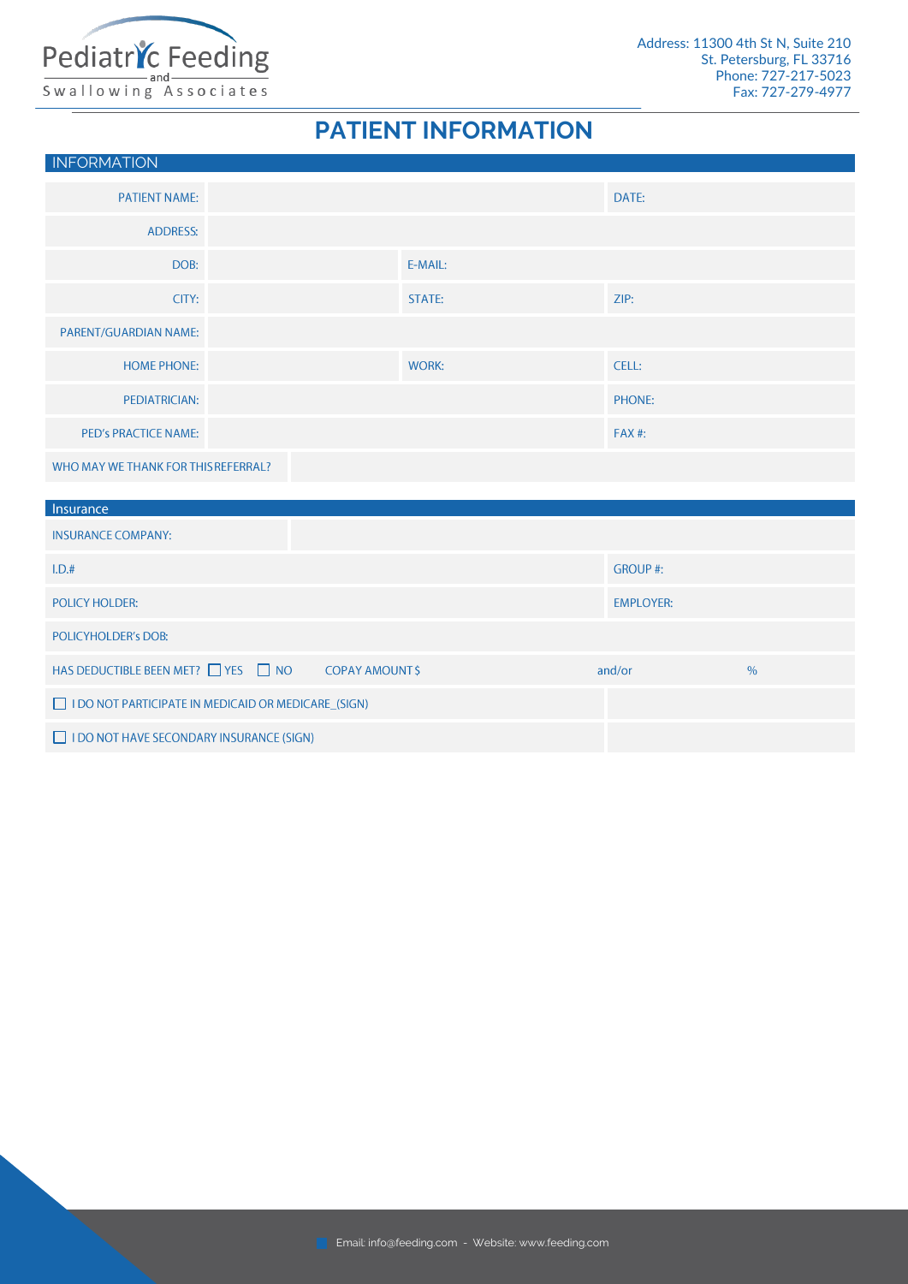

### **PATIENT INFORMATION**

|                                                                                 |               | DATE:          |                  |  |  |  |  |
|---------------------------------------------------------------------------------|---------------|----------------|------------------|--|--|--|--|
|                                                                                 |               |                |                  |  |  |  |  |
|                                                                                 | E-MAIL:       |                |                  |  |  |  |  |
|                                                                                 | <b>STATE:</b> | ZIP:           |                  |  |  |  |  |
|                                                                                 |               |                |                  |  |  |  |  |
|                                                                                 | <b>WORK:</b>  | CELL:          |                  |  |  |  |  |
|                                                                                 |               | PHONE:         |                  |  |  |  |  |
|                                                                                 |               | <b>FAX#:</b>   |                  |  |  |  |  |
| WHO MAY WE THANK FOR THIS REFERRAL?                                             |               |                |                  |  |  |  |  |
|                                                                                 |               |                |                  |  |  |  |  |
|                                                                                 |               |                |                  |  |  |  |  |
|                                                                                 |               | <b>GROUP#:</b> |                  |  |  |  |  |
| <b>POLICY HOLDER:</b>                                                           |               |                |                  |  |  |  |  |
| <b>POLICYHOLDER'S DOB:</b>                                                      |               |                |                  |  |  |  |  |
| HAS DEDUCTIBLE BEEN MET? □ YES □ NO<br>$\%$<br><b>COPAY AMOUNT \$</b><br>and/or |               |                |                  |  |  |  |  |
| I DO NOT PARTICIPATE IN MEDICAID OR MEDICARE_(SIGN)                             |               |                |                  |  |  |  |  |
|                                                                                 |               |                | <b>EMPLOYER:</b> |  |  |  |  |

I DO NOT HAVE SECONDARY INSURANCE (SIGN)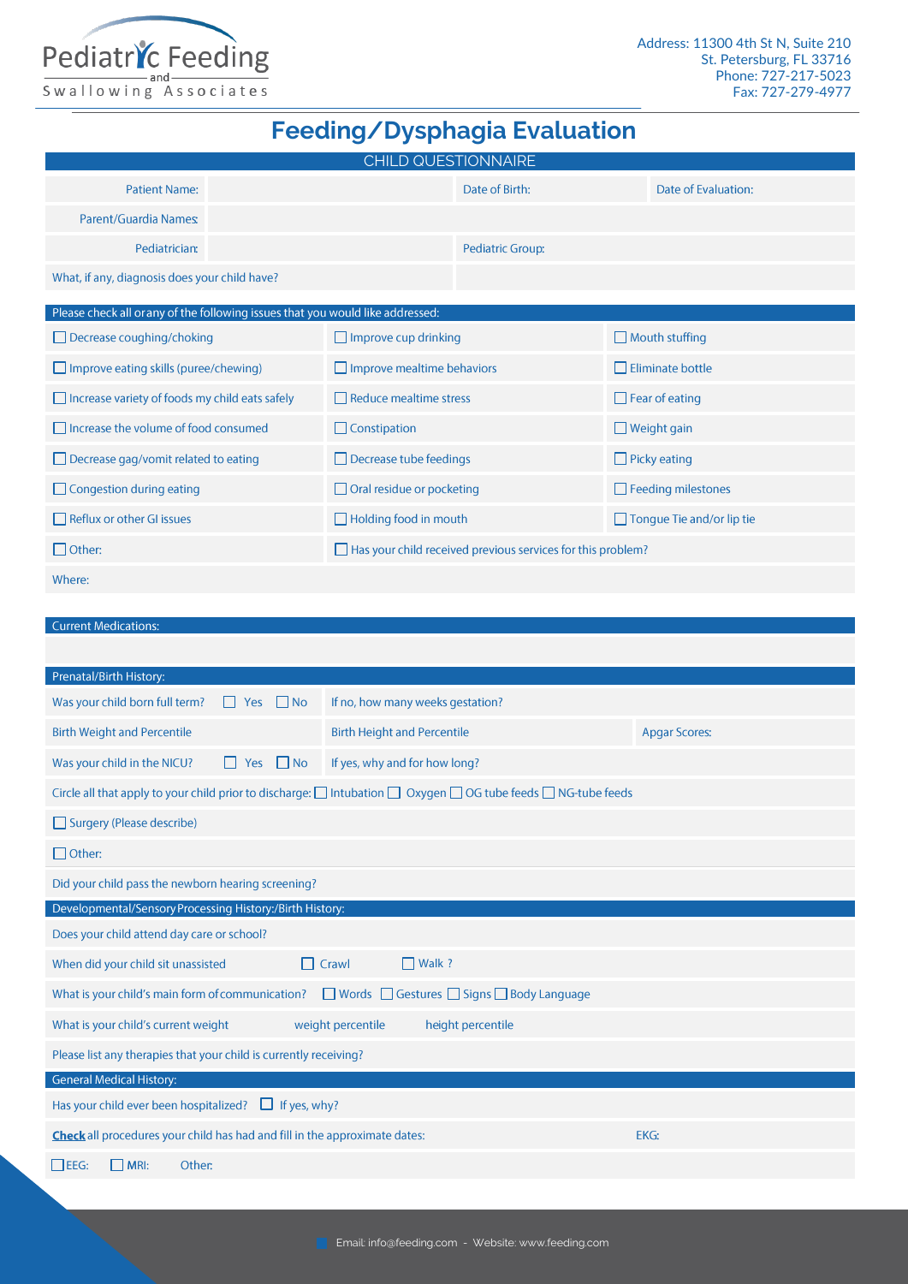

### **Feeding/Dysphagia Evaluation**

|                                                                                | <b>CHILD QUESTIONNAIRE</b>        |                                                                    |                       |                                  |
|--------------------------------------------------------------------------------|-----------------------------------|--------------------------------------------------------------------|-----------------------|----------------------------------|
| <b>Patient Name:</b>                                                           |                                   | Date of Birth:                                                     |                       | Date of Evaluation:              |
| Parent/Guardia Names:                                                          |                                   |                                                                    |                       |                                  |
| Pediatrician:                                                                  |                                   |                                                                    | Pediatric Group:      |                                  |
| What, if any, diagnosis does your child have?                                  |                                   |                                                                    |                       |                                  |
| Please check all or any of the following issues that you would like addressed: |                                   |                                                                    |                       |                                  |
| $\Box$ Decrease coughing/choking                                               | $\Box$ Improve cup drinking       |                                                                    | $\Box$ Mouth stuffing |                                  |
| $\Box$ Improve eating skills (puree/chewing)                                   | $\Box$ Improve mealtime behaviors |                                                                    |                       | $\Box$ Eliminate bottle          |
| $\Box$ Increase variety of foods my child eats safely                          | $\Box$ Reduce mealtime stress     |                                                                    |                       | $\Box$ Fear of eating            |
| $\Box$ Increase the volume of food consumed                                    | $\Box$ Constipation               |                                                                    |                       | $\Box$ Weight gain               |
| $\Box$ Decrease gag/vomit related to eating                                    | $\Box$ Decrease tube feedings     |                                                                    |                       | $\Box$ Picky eating              |
| $\Box$ Congestion during eating                                                | $\Box$ Oral residue or pocketing  |                                                                    |                       | $\Box$ Feeding milestones        |
| $\Box$ Reflux or other GI issues                                               | $\Box$ Holding food in mouth      |                                                                    |                       | $\Box$ Tongue Tie and/or lip tie |
| $\Box$ Other:                                                                  |                                   | $\Box$ Has your child received previous services for this problem? |                       |                                  |

#### Where:

#### Current Medications:

| Prenatal/Birth History:                                                                   |                                                                                                               |                      |  |  |  |  |
|-------------------------------------------------------------------------------------------|---------------------------------------------------------------------------------------------------------------|----------------------|--|--|--|--|
| Was your child born full term?<br>$\Box$ Yes<br>$\Box$ No                                 | If no, how many weeks gestation?                                                                              |                      |  |  |  |  |
| <b>Birth Weight and Percentile</b>                                                        | <b>Birth Height and Percentile</b>                                                                            | <b>Apgar Scores:</b> |  |  |  |  |
| Was your child in the NICU?<br>$\Box$ No<br>Yes                                           | If yes, why and for how long?                                                                                 |                      |  |  |  |  |
|                                                                                           | Circle all that apply to your child prior to discharge: □ Intubation □ Oxygen □ OG tube feeds □ NG-tube feeds |                      |  |  |  |  |
| Surgery (Please describe)                                                                 |                                                                                                               |                      |  |  |  |  |
| $\Box$ Other:                                                                             |                                                                                                               |                      |  |  |  |  |
| Did your child pass the newborn hearing screening?                                        |                                                                                                               |                      |  |  |  |  |
| Developmental/Sensory Processing History:/Birth History:                                  |                                                                                                               |                      |  |  |  |  |
| Does your child attend day care or school?                                                |                                                                                                               |                      |  |  |  |  |
| When did your child sit unassisted<br>$\Box$                                              | $\Box$ Walk ?<br>Crawl                                                                                        |                      |  |  |  |  |
| What is your child's main form of communication?                                          | ■ Words ■ Gestures ■ Signs ■ Body Language                                                                    |                      |  |  |  |  |
| What is your child's current weight                                                       | weight percentile<br>height percentile                                                                        |                      |  |  |  |  |
| Please list any therapies that your child is currently receiving?                         |                                                                                                               |                      |  |  |  |  |
| <b>General Medical History:</b>                                                           |                                                                                                               |                      |  |  |  |  |
| Has your child ever been hospitalized?<br>$\Box$ If yes, why?                             |                                                                                                               |                      |  |  |  |  |
| Check all procedures your child has had and fill in the approximate dates:<br><b>EKG:</b> |                                                                                                               |                      |  |  |  |  |
| $\Box$ EEG:<br>$\Box$ MRI:<br>Other:                                                      |                                                                                                               |                      |  |  |  |  |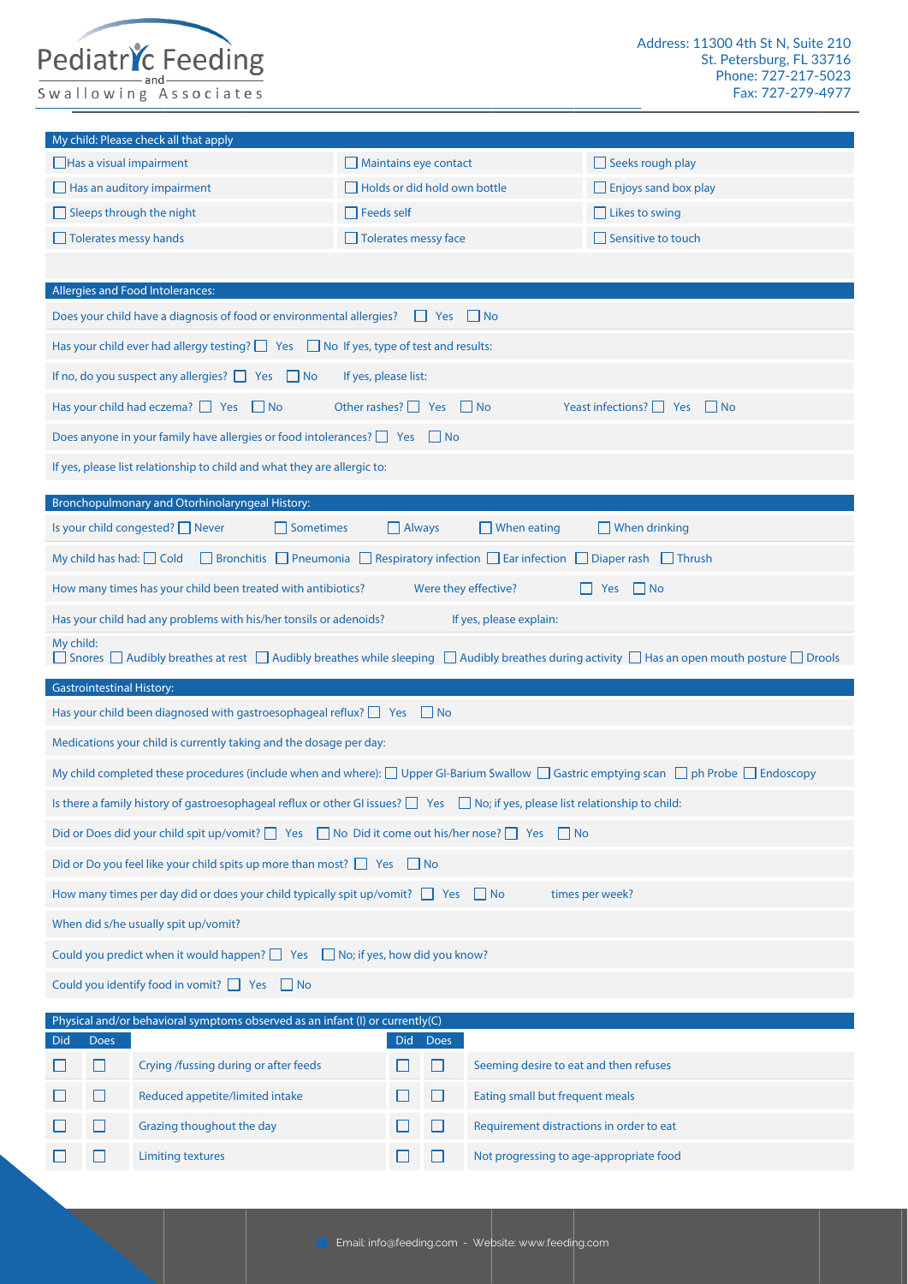## Pediatric Feeding

 $\Box$ 

 $\Box$ 

 $\Box$ 

 $\Box$ 

Grazing thoughout the day

**Limiting textures** 

|                                                                                         |                                                                                                                | My child: Please check all that apply                                                                                                     |                                     |               |                      |                                        |                                                                                                                                                            |
|-----------------------------------------------------------------------------------------|----------------------------------------------------------------------------------------------------------------|-------------------------------------------------------------------------------------------------------------------------------------------|-------------------------------------|---------------|----------------------|----------------------------------------|------------------------------------------------------------------------------------------------------------------------------------------------------------|
|                                                                                         |                                                                                                                | Has a visual impairment                                                                                                                   | Maintains eye contact               |               |                      |                                        | $\Box$ Seeks rough play                                                                                                                                    |
|                                                                                         |                                                                                                                | $\Box$ Has an auditory impairment                                                                                                         | $\Box$ Holds or did hold own bottle |               |                      |                                        | $\Box$ Enjoys sand box play                                                                                                                                |
|                                                                                         |                                                                                                                | $\Box$ Sleeps through the night                                                                                                           | $\Box$ Feeds self                   |               |                      |                                        | $\Box$ Likes to swing                                                                                                                                      |
|                                                                                         |                                                                                                                | Tolerates messy hands                                                                                                                     | Tolerates messy face                |               |                      |                                        | $\Box$ Sensitive to touch                                                                                                                                  |
|                                                                                         |                                                                                                                |                                                                                                                                           |                                     |               |                      |                                        |                                                                                                                                                            |
|                                                                                         |                                                                                                                | Allergies and Food Intolerances:                                                                                                          |                                     |               |                      |                                        |                                                                                                                                                            |
|                                                                                         |                                                                                                                | Does your child have a diagnosis of food or environmental allergies?                                                                      |                                     |               | $\Box$ Yes $\Box$ No |                                        |                                                                                                                                                            |
|                                                                                         |                                                                                                                | Has your child ever had allergy testing? $\Box$ Yes $\Box$ No If yes, type of test and results:                                           |                                     |               |                      |                                        |                                                                                                                                                            |
|                                                                                         |                                                                                                                | If no, do you suspect any allergies? $\Box$ Yes $\Box$ No                                                                                 | If yes, please list:                |               |                      |                                        |                                                                                                                                                            |
|                                                                                         |                                                                                                                | Has your child had eczema? $\Box$ Yes $\Box$ No                                                                                           | Other rashes? $\Box$ Yes $\Box$ No  |               |                      |                                        | Yeast infections? $\Box$ Yes $\Box$ No                                                                                                                     |
|                                                                                         |                                                                                                                | Does anyone in your family have allergies or food intolerances? T Yes T No                                                                |                                     |               |                      |                                        |                                                                                                                                                            |
|                                                                                         |                                                                                                                | If yes, please list relationship to child and what they are allergic to:                                                                  |                                     |               |                      |                                        |                                                                                                                                                            |
|                                                                                         |                                                                                                                | Bronchopulmonary and Otorhinolaryngeal History:                                                                                           |                                     |               |                      |                                        |                                                                                                                                                            |
|                                                                                         |                                                                                                                | Is your child congested? $\Box$ Never<br>$\Box$ Sometimes                                                                                 |                                     | $\Box$ Always |                      | $\Box$ When eating                     | $\Box$ When drinking                                                                                                                                       |
|                                                                                         |                                                                                                                | □ Bronchitis □ Pneumonia □ Respiratory infection □ Ear infection □ Diaper rash □ Thrush<br>My child has had: $\Box$ Cold                  |                                     |               |                      |                                        |                                                                                                                                                            |
|                                                                                         |                                                                                                                | How many times has your child been treated with antibiotics?                                                                              |                                     |               |                      | Were they effective?                   | $\Box$ No<br>$\Box$ Yes                                                                                                                                    |
|                                                                                         |                                                                                                                | Has your child had any problems with his/her tonsils or adenoids?                                                                         |                                     |               |                      | If yes, please explain:                |                                                                                                                                                            |
| My child:                                                                               |                                                                                                                |                                                                                                                                           |                                     |               |                      |                                        | □ Snores □ Audibly breathes at rest □ Audibly breathes while sleeping □ Audibly breathes during activity □ Has an open mouth posture □ Drools              |
| <b>Gastrointestinal History:</b>                                                        |                                                                                                                |                                                                                                                                           |                                     |               |                      |                                        |                                                                                                                                                            |
|                                                                                         |                                                                                                                | Has your child been diagnosed with gastroesophageal reflux? $\Box$ Yes $\Box$ No                                                          |                                     |               |                      |                                        |                                                                                                                                                            |
|                                                                                         |                                                                                                                | Medications your child is currently taking and the dosage per day:                                                                        |                                     |               |                      |                                        |                                                                                                                                                            |
|                                                                                         |                                                                                                                |                                                                                                                                           |                                     |               |                      |                                        | My child completed these procedures (include when and where): $\Box$ Upper GI-Barium Swallow $\Box$ Gastric emptying scan $\Box$ ph Probe $\Box$ Endoscopy |
|                                                                                         |                                                                                                                | Is there a family history of gastroesophageal reflux or other GI issues? $\Box$ Yes $\Box$ No; if yes, please list relationship to child: |                                     |               |                      |                                        |                                                                                                                                                            |
|                                                                                         |                                                                                                                | Did or Does did your child spit up/vomit? $\Box$ Yes $\Box$ No Did it come out his/her nose? $\Box$ Yes $\Box$ No                         |                                     |               |                      |                                        |                                                                                                                                                            |
|                                                                                         |                                                                                                                | Did or Do you feel like your child spits up more than most? $\Box$ Yes $\Box$ No                                                          |                                     |               |                      |                                        |                                                                                                                                                            |
|                                                                                         | How many times per day did or does your child typically spit up/vomit? $\Box$ Yes $\Box$ No<br>times per week? |                                                                                                                                           |                                     |               |                      |                                        |                                                                                                                                                            |
| When did s/he usually spit up/vomit?                                                    |                                                                                                                |                                                                                                                                           |                                     |               |                      |                                        |                                                                                                                                                            |
| Could you predict when it would happen? $\Box$ Yes $\Box$ No; if yes, how did you know? |                                                                                                                |                                                                                                                                           |                                     |               |                      |                                        |                                                                                                                                                            |
| Could you identify food in vomit? $\Box$ Yes $\Box$ No                                  |                                                                                                                |                                                                                                                                           |                                     |               |                      |                                        |                                                                                                                                                            |
| Physical and/or behavioral symptoms observed as an infant (I) or currently(C)           |                                                                                                                |                                                                                                                                           |                                     |               |                      |                                        |                                                                                                                                                            |
| <b>Did</b>                                                                              | <b>Does</b>                                                                                                    |                                                                                                                                           |                                     | Did           | <b>Does</b>          |                                        |                                                                                                                                                            |
|                                                                                         | $\Box$                                                                                                         | Crying /fussing during or after feeds                                                                                                     |                                     |               | $\Box$               | Seeming desire to eat and then refuses |                                                                                                                                                            |
|                                                                                         | H                                                                                                              | Reduced appetite/limited intake                                                                                                           |                                     |               | $\Box$               | Eating small but frequent meals        |                                                                                                                                                            |

Requirement distractions in order to eat

Not progressing to age-appropriate food

 $\Box$ 

 $\Box$ 

 $\begin{array}{c} \square \end{array} \begin{array}{c} \square \end{array}$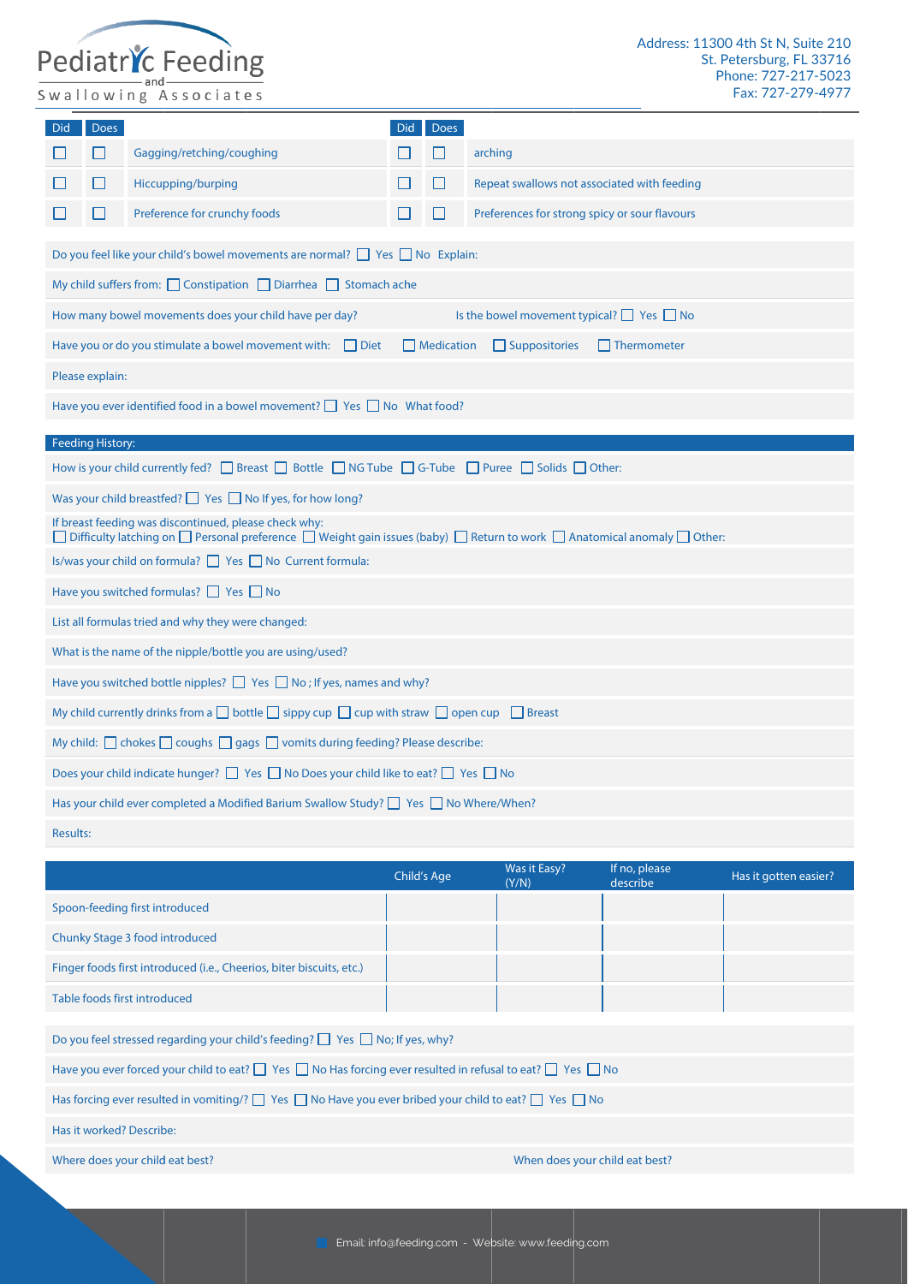# Pediatric Feeding

| Did                                                                                                                 | <b>Does</b>                                                                                             |                                                                                                                                    | Did | <b>Does</b>       |                                                                                                                           |  |
|---------------------------------------------------------------------------------------------------------------------|---------------------------------------------------------------------------------------------------------|------------------------------------------------------------------------------------------------------------------------------------|-----|-------------------|---------------------------------------------------------------------------------------------------------------------------|--|
|                                                                                                                     | $\mathsf{L}$                                                                                            | Gagging/retching/coughing                                                                                                          |     | H                 | arching                                                                                                                   |  |
|                                                                                                                     | $\mathsf{L}$                                                                                            | Hiccupping/burping                                                                                                                 |     |                   | Repeat swallows not associated with feeding                                                                               |  |
|                                                                                                                     | $\mathsf{L}$                                                                                            | Preference for crunchy foods                                                                                                       |     |                   | Preferences for strong spicy or sour flavours                                                                             |  |
|                                                                                                                     |                                                                                                         | Do you feel like your child's bowel movements are normal? $\Box$ Yes $\Box$ No Explain:                                            |     |                   |                                                                                                                           |  |
|                                                                                                                     |                                                                                                         | My child suffers from: Constipation Diarrhea Stomach ache                                                                          |     |                   |                                                                                                                           |  |
|                                                                                                                     |                                                                                                         | How many bowel movements does your child have per day?                                                                             |     |                   | Is the bowel movement typical? $\Box$ Yes $\Box$ No                                                                       |  |
|                                                                                                                     |                                                                                                         | Have you or do you stimulate a bowel movement with: $\Box$ Diet                                                                    |     | $\Box$ Medication | $\Box$ Suppositories<br>Thermometer                                                                                       |  |
|                                                                                                                     | Please explain:                                                                                         |                                                                                                                                    |     |                   |                                                                                                                           |  |
|                                                                                                                     |                                                                                                         | Have you ever identified food in a bowel movement? $\Box$ Yes $\Box$ No What food?                                                 |     |                   |                                                                                                                           |  |
|                                                                                                                     | <b>Feeding History:</b>                                                                                 |                                                                                                                                    |     |                   |                                                                                                                           |  |
|                                                                                                                     |                                                                                                         | How is your child currently fed? $\Box$ Breast $\Box$ Bottle $\Box$ NG Tube $\Box$ G-Tube $\Box$ Puree $\Box$ Solids $\Box$ Other: |     |                   |                                                                                                                           |  |
|                                                                                                                     |                                                                                                         | Was your child breastfed? $\Box$ Yes $\Box$ No If yes, for how long?                                                               |     |                   |                                                                                                                           |  |
|                                                                                                                     |                                                                                                         | If breast feeding was discontinued, please check why:                                                                              |     |                   | □ Difficulty latching on □ Personal preference □ Weight gain issues (baby) □ Return to work □ Anatomical anomaly □ Other: |  |
|                                                                                                                     |                                                                                                         | Is/was your child on formula? Simples No Current formula:                                                                          |     |                   |                                                                                                                           |  |
|                                                                                                                     |                                                                                                         | Have you switched formulas? $\Box$ Yes $\Box$ No                                                                                   |     |                   |                                                                                                                           |  |
|                                                                                                                     |                                                                                                         | List all formulas tried and why they were changed:                                                                                 |     |                   |                                                                                                                           |  |
|                                                                                                                     |                                                                                                         | What is the name of the nipple/bottle you are using/used?                                                                          |     |                   |                                                                                                                           |  |
|                                                                                                                     |                                                                                                         | Have you switched bottle nipples? $\Box$ Yes $\Box$ No; If yes, names and why?                                                     |     |                   |                                                                                                                           |  |
| My child currently drinks from a $\Box$ bottle $\Box$ sippy cup $\Box$ cup with straw $\Box$ open cup $\Box$ Breast |                                                                                                         |                                                                                                                                    |     |                   |                                                                                                                           |  |
| My child: $\Box$ chokes $\Box$ coughs $\Box$ gags $\Box$ vomits during feeding? Please describe:                    |                                                                                                         |                                                                                                                                    |     |                   |                                                                                                                           |  |
|                                                                                                                     | Does your child indicate hunger? $\Box$ Yes $\Box$ No Does your child like to eat? $\Box$ Yes $\Box$ No |                                                                                                                                    |     |                   |                                                                                                                           |  |
|                                                                                                                     |                                                                                                         | Has your child ever completed a Modified Barium Swallow Study? $\Box$ Yes $\Box$ No Where/When?                                    |     |                   |                                                                                                                           |  |
| <b>Results:</b>                                                                                                     |                                                                                                         |                                                                                                                                    |     |                   |                                                                                                                           |  |
|                                                                                                                     |                                                                                                         |                                                                                                                                    |     |                   |                                                                                                                           |  |

|                                                                                                                                | <b>Child's Age</b> | Was it Easy?<br>(Y/N)          | If no, please<br>describe | Has it gotten easier? |
|--------------------------------------------------------------------------------------------------------------------------------|--------------------|--------------------------------|---------------------------|-----------------------|
| Spoon-feeding first introduced                                                                                                 |                    |                                |                           |                       |
| Chunky Stage 3 food introduced                                                                                                 |                    |                                |                           |                       |
| Finger foods first introduced (i.e., Cheerios, biter biscuits, etc.)                                                           |                    |                                |                           |                       |
| Table foods first introduced                                                                                                   |                    |                                |                           |                       |
|                                                                                                                                |                    |                                |                           |                       |
| Do you feel stressed regarding your child's feeding? $\Box$ Yes $\Box$ No; If yes, why?                                        |                    |                                |                           |                       |
| Have you ever forced your child to eat? $\Box$ Yes $\Box$ No Has forcing ever resulted in refusal to eat? $\Box$ Yes $\Box$ No |                    |                                |                           |                       |
| Has forcing ever resulted in vomiting/? $\Box$ Yes $\Box$ No Have you ever bribed your child to eat? $\Box$ Yes $\Box$ No      |                    |                                |                           |                       |
| Has it worked? Describe:                                                                                                       |                    |                                |                           |                       |
| Where does your child eat best?                                                                                                |                    | When does your child eat best? |                           |                       |

Email: info@feeding.com - Website: www.feeding.com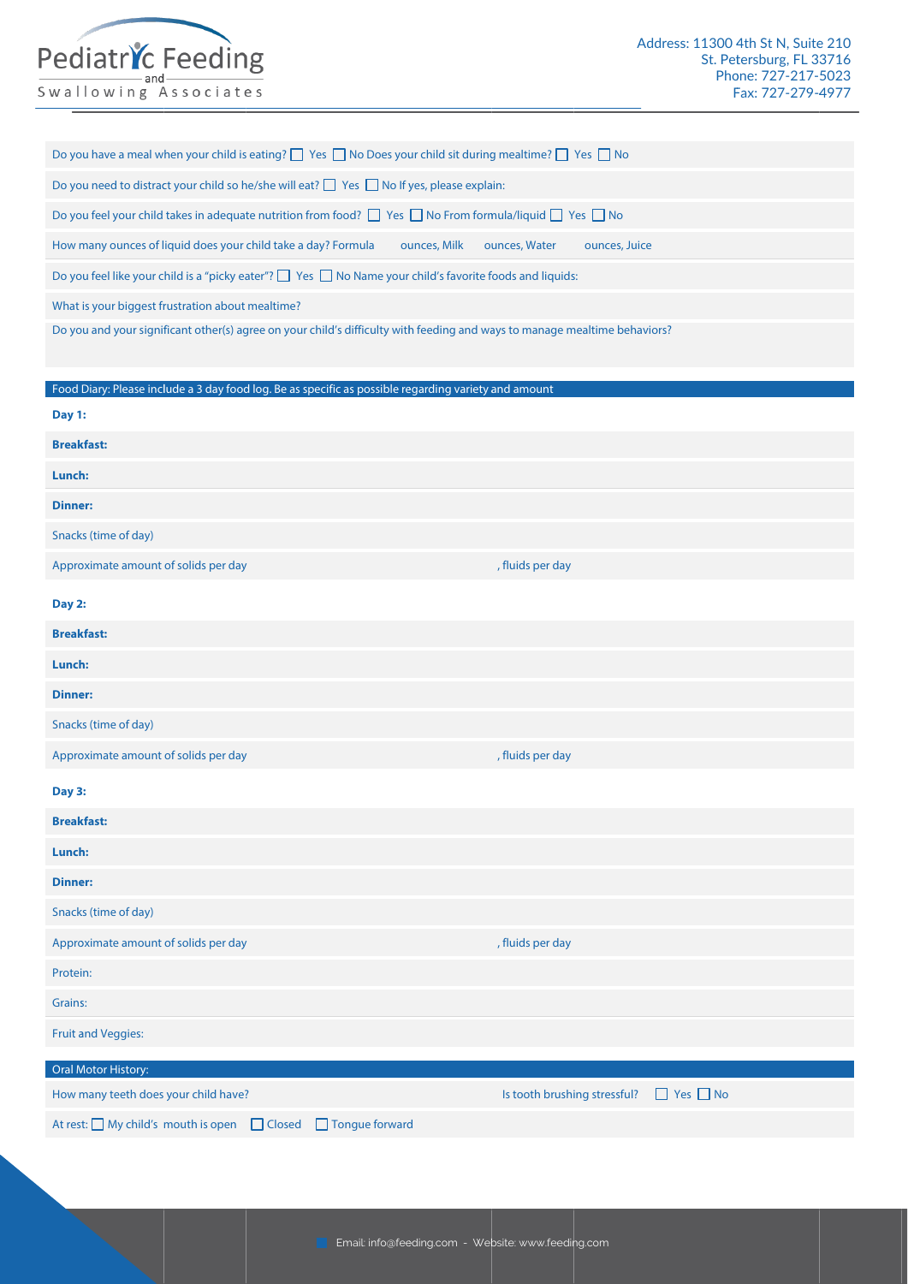## Pediatric Feeding

Swallowing Associates

| Do you have a meal when your child is eating? $\Box$ Yes $\Box$ No Does your child sit during mealtime? $\Box$ Yes $\Box$ No |  |  |  |  |  |
|------------------------------------------------------------------------------------------------------------------------------|--|--|--|--|--|
|------------------------------------------------------------------------------------------------------------------------------|--|--|--|--|--|

Do you need to distract your child so he/she will eat?  $\Box$  Yes  $\Box$  No If yes, please explain:

Do you feel your child takes in adequate nutrition from food? □ Yes □ No From formula/liquid □ Yes □ No

How many ounces of liquid does your child take a day? Formula ou ounces, Milk ounces, Water ounces, Juice

Do you feel like your child is a "picky eater"?  $\Box$  Yes  $\Box$  No Name your child's favorite foods and liquids:

What is your biggest frustration about mealtime?

Do you and your significant other(s) agree on your child's difficulty with feeding and ways to manage mealtime behaviors?

Food Diary: Please include a 3 day food log. Be as specific as possible regarding variety and amount

| Day 1:                               |                                                      |
|--------------------------------------|------------------------------------------------------|
| <b>Breakfast:</b>                    |                                                      |
| Lunch:                               |                                                      |
| <b>Dinner:</b>                       |                                                      |
| Snacks (time of day)                 |                                                      |
| Approximate amount of solids per day | , fluids per day                                     |
| Day 2:                               |                                                      |
| <b>Breakfast:</b>                    |                                                      |
| Lunch:                               |                                                      |
| <b>Dinner:</b>                       |                                                      |
| Snacks (time of day)                 |                                                      |
| Approximate amount of solids per day | , fluids per day                                     |
| Day 3:                               |                                                      |
| <b>Breakfast:</b>                    |                                                      |
| Lunch:                               |                                                      |
| <b>Dinner:</b>                       |                                                      |
| Snacks (time of day)                 |                                                      |
| Approximate amount of solids per day | , fluids per day                                     |
|                                      |                                                      |
| Protein:                             |                                                      |
| Grains:                              |                                                      |
| <b>Fruit and Veggies:</b>            |                                                      |
| Oral Motor History:                  |                                                      |
| How many teeth does your child have? | $\Box$ Yes $\Box$ No<br>Is tooth brushing stressful? |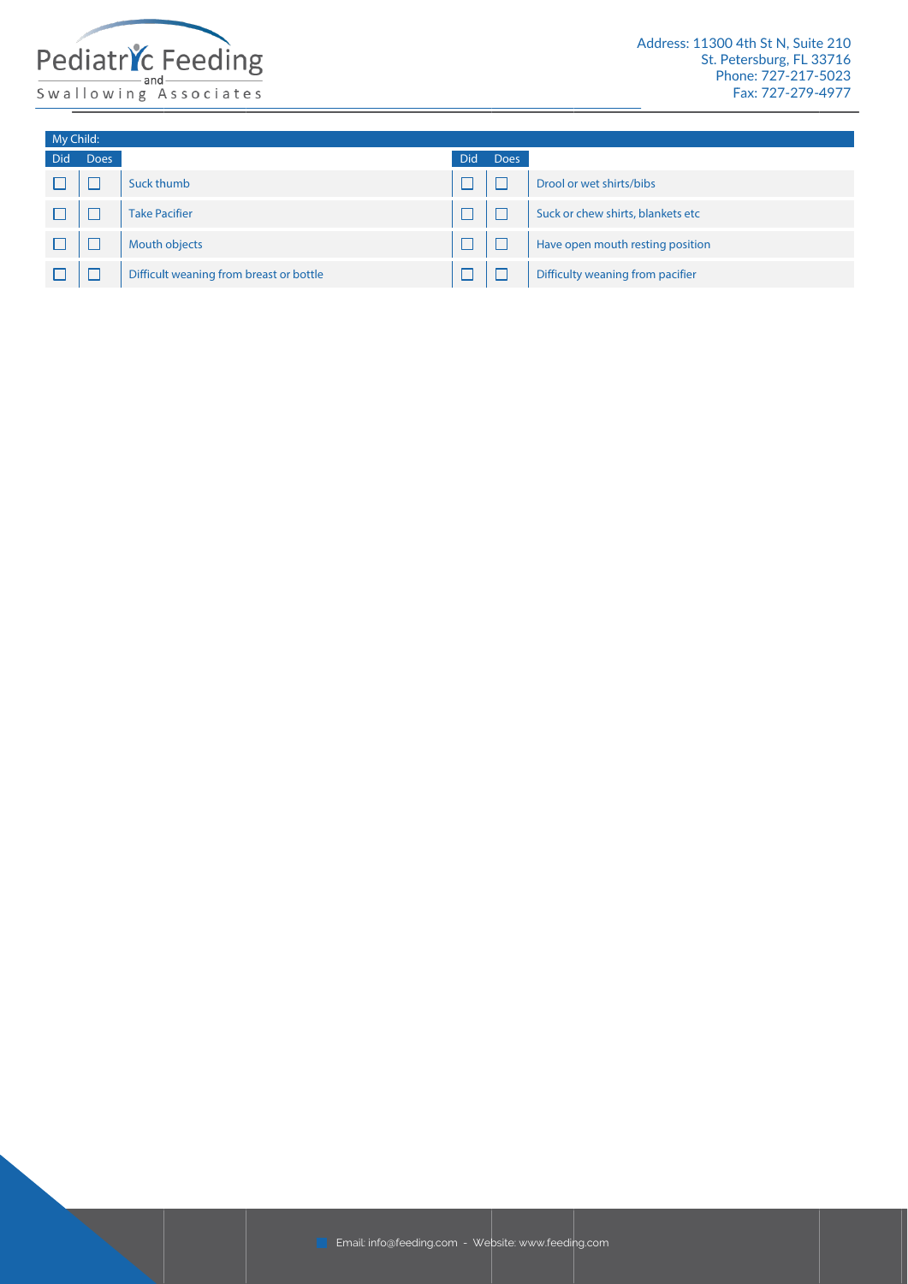

| My Child: |             |                                         |      |      |                                   |
|-----------|-------------|-----------------------------------------|------|------|-----------------------------------|
| Did       | <b>Does</b> |                                         | Did. | Does |                                   |
|           |             | Suck thumb                              |      |      | Drool or wet shirts/bibs          |
|           |             | <b>Take Pacifier</b>                    |      |      | Suck or chew shirts, blankets etc |
|           |             | Mouth objects                           |      |      | Have open mouth resting position  |
|           |             | Difficult weaning from breast or bottle |      |      | Difficulty weaning from pacifier  |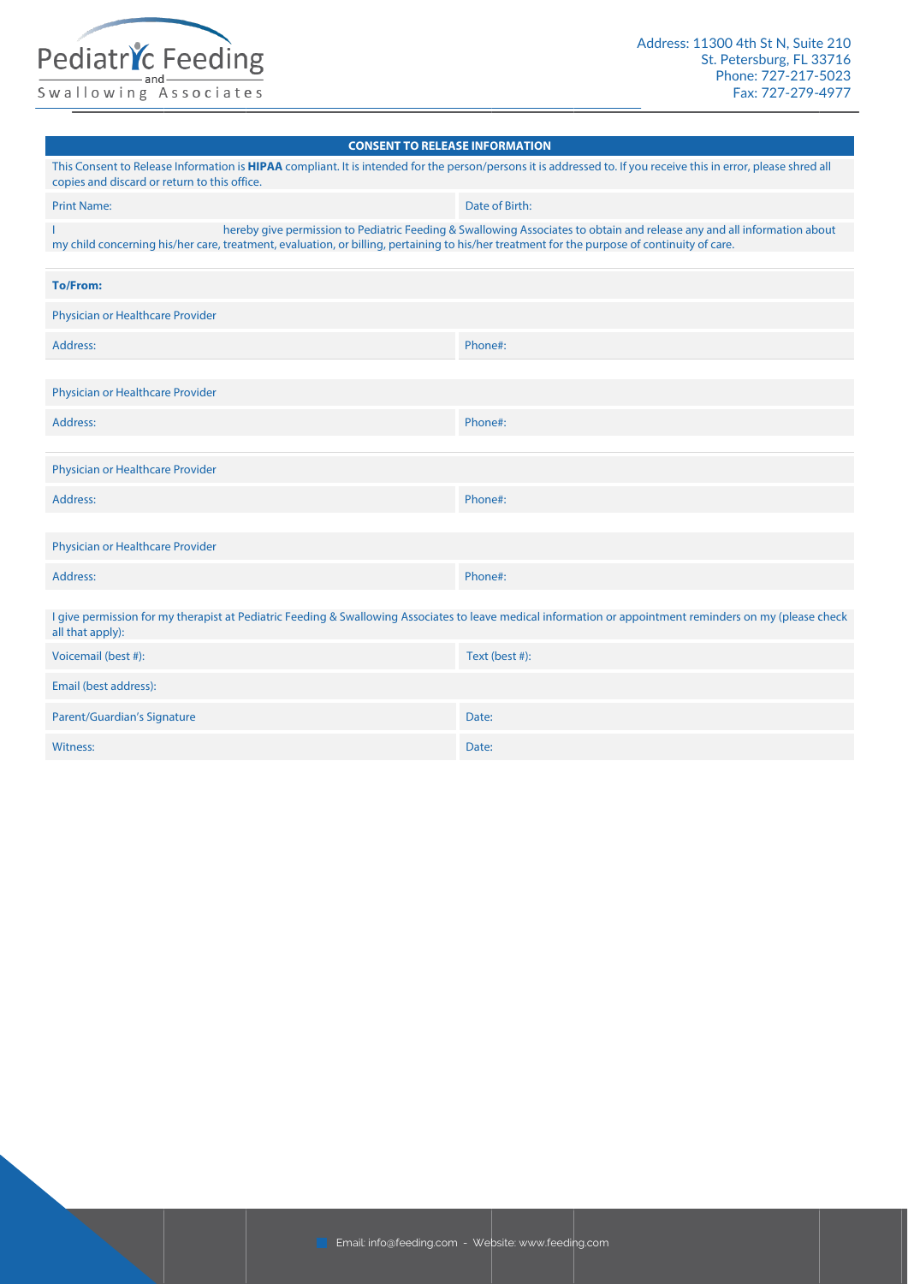

#### **CONSENT TO RELEASE INFORMATION**

| This Consent to Release Information is HIPAA compliant. It is intended for the person/persons it is addressed to. If you receive this in error, please shred all<br>copies and discard or return to this office. |                                                                                                                         |
|------------------------------------------------------------------------------------------------------------------------------------------------------------------------------------------------------------------|-------------------------------------------------------------------------------------------------------------------------|
| <b>Print Name:</b>                                                                                                                                                                                               | Date of Birth:                                                                                                          |
| my child concerning his/her care, treatment, evaluation, or billing, pertaining to his/her treatment for the purpose of continuity of care.                                                                      | hereby give permission to Pediatric Feeding & Swallowing Associates to obtain and release any and all information about |
|                                                                                                                                                                                                                  |                                                                                                                         |
| <b>To/From:</b>                                                                                                                                                                                                  |                                                                                                                         |
| Physician or Healthcare Provider                                                                                                                                                                                 |                                                                                                                         |
| Address:                                                                                                                                                                                                         | Phone#:                                                                                                                 |
|                                                                                                                                                                                                                  |                                                                                                                         |
| Physician or Healthcare Provider                                                                                                                                                                                 |                                                                                                                         |
| Address:                                                                                                                                                                                                         | Phone#:                                                                                                                 |
|                                                                                                                                                                                                                  |                                                                                                                         |
| Physician or Healthcare Provider                                                                                                                                                                                 |                                                                                                                         |
| Address:                                                                                                                                                                                                         | Phone#:                                                                                                                 |
| Physician or Healthcare Provider                                                                                                                                                                                 |                                                                                                                         |
| Address:                                                                                                                                                                                                         | Phone#:                                                                                                                 |
|                                                                                                                                                                                                                  |                                                                                                                         |
| I give permission for my therapist at Pediatric Feeding & Swallowing Associates to leave medical information or appointment reminders on my (please check<br>all that apply):                                    |                                                                                                                         |
| Voicemail (best #):                                                                                                                                                                                              | Text (best #):                                                                                                          |
| Email (best address):                                                                                                                                                                                            |                                                                                                                         |
| <b>Parent/Guardian's Signature</b>                                                                                                                                                                               | Date:                                                                                                                   |
| <b>Witness:</b>                                                                                                                                                                                                  | Date:                                                                                                                   |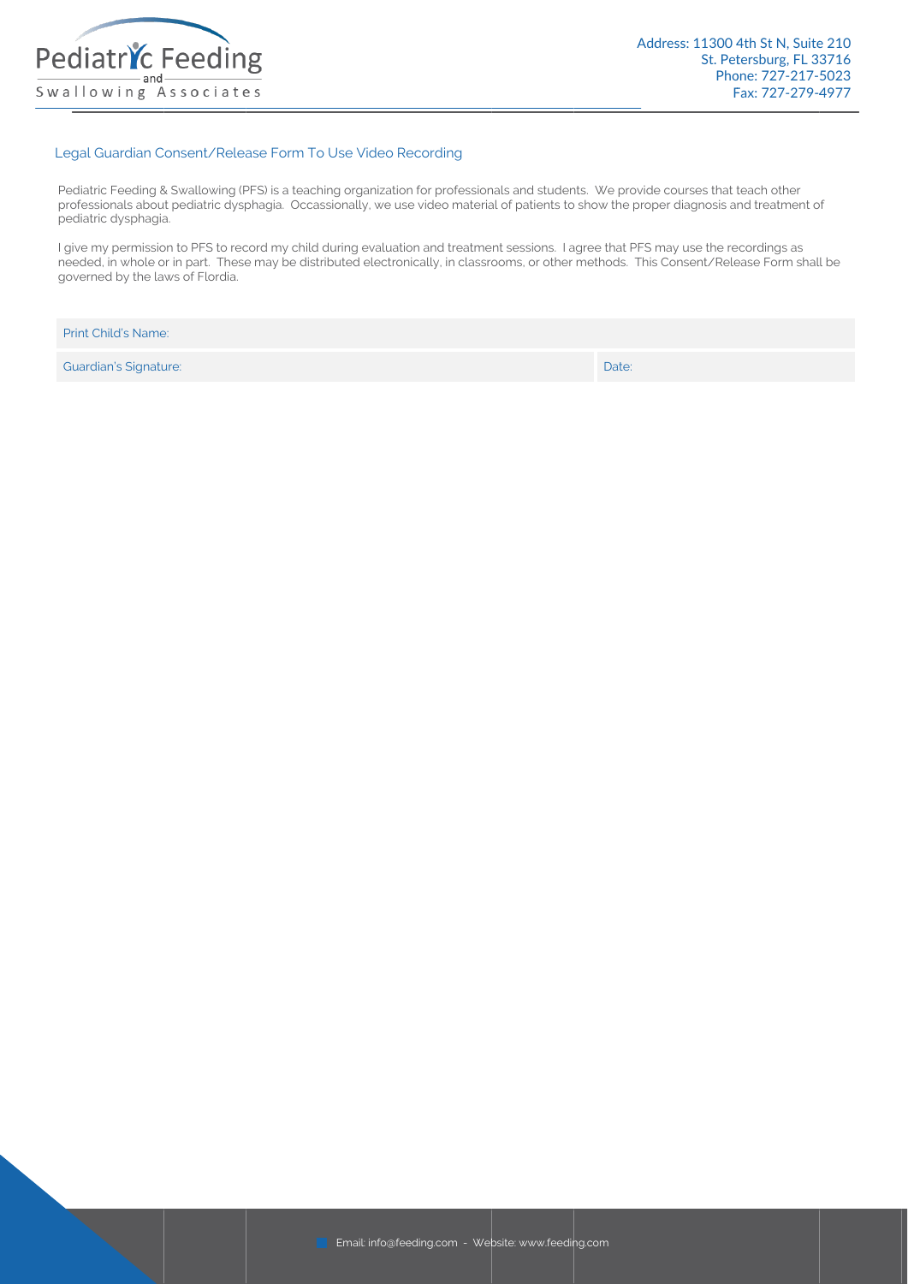

#### Legal Guardian Consent/Release Form To Use Video Recording

 Pediatric Feeding & Swallowing (PFS) is a teaching organization for professionals and students. We provide courses that teach other professionals about pediatric dysphagia. Occassionally, we use video material of patients to show the proper diagnosis and treatment of pediatric dysphagia.

I give my permission to PFS to record my child during evaluation and treatment sessions. I agree that PFS may use the recordings as needed, in whole or in part. These may be distributed electronically, in classrooms, or other methods. This Consent/Release Form shall be governed by the laws of Flordia.

| <b>Print Child's Name:</b> |       |
|----------------------------|-------|
| Guardian's Signature:      | Date: |

Email: info@feeding.com - Website: www.feedin g.com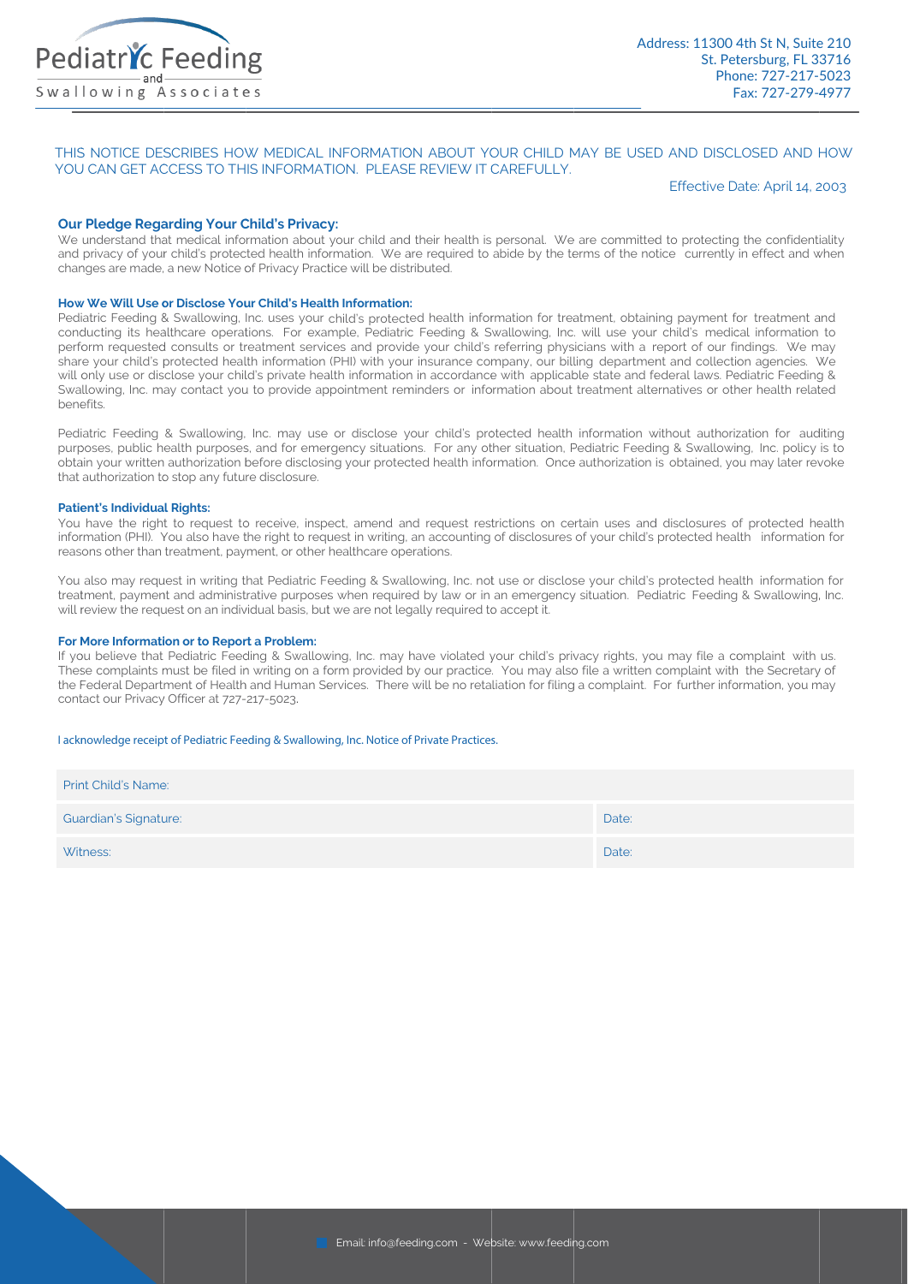

#### THIS NOTICE DESCRIBES HOW MEDICAL INFORMATION ABOUT YOUR CHILD MAY BE USED AND DISCLOSED AND HOW YOU CAN GET ACCESS TO THIS INFORMATION. PLEASE REVIEW IT CAREFULLY.

#### Effective Date: April 14, 2003

#### **Our Pledge Regarding Your Child's Privacy:**

We understand that medical information about your child and their health is personal. We are committed to protecting the confidentiality and privacy of your child's protected health information. We are required to abide by the terms of the notice currently in effect and when changes are made, a new Notice of Privacy Practice will be distributed.

#### How We Will Use or Disclose Your Child's Health Information:

Pediatric Feeding & Swallowing, Inc. uses your child's protected health information for treatment, obtaining payment for treatment and conducting its healthcare operations. For example, Pediatric Feeding & Swallowing, Inc. will use your child's medical information to perform requested consults or treatment services and provide your child's referring physicians with a report of our findings. We may share your child's protected health information (PHI) with your insurance company, our billing department and collection agencies. We will only use or disclose your child's private health information in accordance with applicable state and federal laws. Pediatric Feeding & Swallowing, Inc. may contact you to provide appointment reminders or information about treatment alternatives or other health related henefits

Pediatric Feeding & Swallowing, Inc. may use or disclose your child's protected health information without authorization for auditing purposes, public health purposes, and for emergency situations. For any other situation, Pediatric Feeding & Swallowing, Inc. policy is to obtain your written authorization before disclosing your protected health information. Once authorization is obtained, you may later revoke that authorization to stop any future disclosure.

#### **Patient's Individual Rights:**

You have the right to request to receive, inspect, amend and request restrictions on certain uses and disclosures of protected health information (PHI). You also have the right to request in writing, an accounting of disclosures of your child's protected health information for reasons other than treatment, payment, or other healthcare operations.

You also may request in writing that Pediatric Feeding & Swallowing, Inc. not use or disclose your child's protected health information for treatment, payment and administrative purposes when required by law or in an emergency situation. Pediatric Feeding & Swallowing, Inc. will review the request on an individual basis, but we are not legally required to accept it.

#### For More Information or to Report a Problem:

If you believe that Pediatric Feeding & Swallowing, Inc. may have violated your child's privacy rights, you may file a complaint with us. These complaints must be filed in writing on a form provided by our practice. You may also file a written complaint with the Secretary of the Federal Department of Health and Human Services. There will be no retaliation for filing a complaint. For further information, you may contact our Privacy Officer at 727-217-5023.

#### I acknowledge receipt of Pediatric Feeding & Swallowing, Inc. Notice of Private Practices.

| <b>Print Child's Name:</b>   |       |
|------------------------------|-------|
| <b>Guardian's Signature:</b> | Date: |
| Witness:                     | Date: |